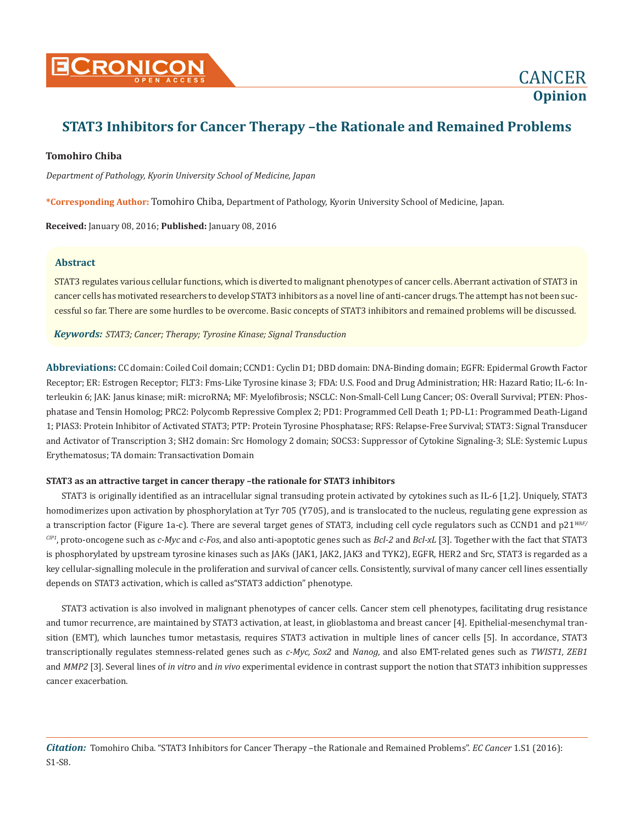

# **STAT3 Inhibitors for Cancer Therapy –the Rationale and Remained Problems**

## **Tomohiro Chiba**

*Department of Pathology, Kyorin University School of Medicine, Japan*

**\*Corresponding Author:** Tomohiro Chiba, Department of Pathology, Kyorin University School of Medicine, Japan.

**Received:** January 08, 2016; **Published:** January 08, 2016

## **Abstract**

STAT3 regulates various cellular functions, which is diverted to malignant phenotypes of cancer cells. Aberrant activation of STAT3 in cancer cells has motivated researchers to develop STAT3 inhibitors as a novel line of anti-cancer drugs. The attempt has not been successful so far. There are some hurdles to be overcome. Basic concepts of STAT3 inhibitors and remained problems will be discussed.

*Keywords: STAT3; Cancer; Therapy; Tyrosine Kinase; Signal Transduction*

**Abbreviations:** CC domain: Coiled Coil domain; CCND1: Cyclin D1; DBD domain: DNA-Binding domain; EGFR: Epidermal Growth Factor Receptor; ER: Estrogen Receptor; FLT3: Fms-Like Tyrosine kinase 3; FDA: U.S. Food and Drug Administration; HR: Hazard Ratio; IL-6: Interleukin 6; JAK: Janus kinase; miR: microRNA; MF: Myelofibrosis; NSCLC: Non-Small-Cell Lung Cancer; OS: Overall Survival; PTEN: Phosphatase and Tensin Homolog; PRC2: Polycomb Repressive Complex 2; PD1: Programmed Cell Death 1; PD-L1: Programmed Death-Ligand 1; PIAS3: Protein Inhibitor of Activated STAT3; PTP: Protein Tyrosine Phosphatase; RFS: Relapse-Free Survival; STAT3: Signal Transducer and Activator of Transcription 3; SH2 domain: Src Homology 2 domain; SOCS3: Suppressor of Cytokine Signaling-3; SLE: Systemic Lupus Erythematosus; TA domain: Transactivation Domain

## **STAT3 as an attractive target in cancer therapy –the rationale for STAT3 inhibitors**

STAT3 is originally identified as an intracellular signal transuding protein activated by cytokines such as IL-6 [1,2]. Uniquely, STAT3 homodimerizes upon activation by phosphorylation at Tyr 705 (Y705), and is translocated to the nucleus, regulating gene expression as a transcription factor (Figure 1a-c). There are several target genes of STAT3, including cell cycle regulators such as CCND1 and p21*WAF/ CIP1*, proto-oncogene such as *c-Myc* and *c-Fos*, and also anti-apoptotic genes such as *Bcl-2* and *Bcl-xL* [3]. Together with the fact that STAT3 is phosphorylated by upstream tyrosine kinases such as JAKs (JAK1, JAK2, JAK3 and TYK2), EGFR, HER2 and Src, STAT3 is regarded as a key cellular-signalling molecule in the proliferation and survival of cancer cells. Consistently, survival of many cancer cell lines essentially depends on STAT3 activation, which is called as"STAT3 addiction" phenotype.

STAT3 activation is also involved in malignant phenotypes of cancer cells. Cancer stem cell phenotypes, facilitating drug resistance and tumor recurrence, are maintained by STAT3 activation, at least, in glioblastoma and breast cancer [4]. Epithelial-mesenchymal transition (EMT), which launches tumor metastasis, requires STAT3 activation in multiple lines of cancer cells [5]. In accordance, STAT3 transcriptionally regulates stemness-related genes such as *c-Myc, Sox2* and *Nanog*, and also EMT-related genes such as *TWIST1, ZEB1* and *MMP2* [3]. Several lines of *in vitro* and *in vivo* experimental evidence in contrast support the notion that STAT3 inhibition suppresses cancer exacerbation.

*Citation:* Tomohiro Chiba. "STAT3 Inhibitors for Cancer Therapy –the Rationale and Remained Problems". *EC Cancer* 1.S1 (2016): S1-S8.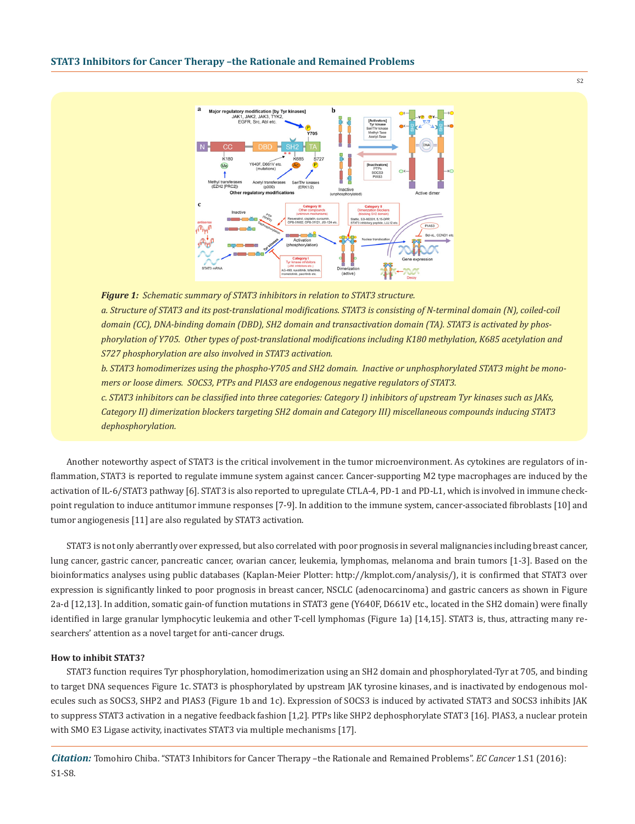

*Figure 1: Schematic summary of STAT3 inhibitors in relation to STAT3 structure. a. Structure of STAT3 and its post-translational modifications. STAT3 is consisting of N-terminal domain (N), coiled-coil domain (CC), DNA-binding domain (DBD), SH2 domain and transactivation domain (TA). STAT3 is activated by phosphorylation of Y705. Other types of post-translational modifications including K180 methylation, K685 acetylation and S727 phosphorylation are also involved in STAT3 activation.*

*b. STAT3 homodimerizes using the phospho-Y705 and SH2 domain. Inactive or unphosphorylated STAT3 might be monomers or loose dimers. SOCS3, PTPs and PIAS3 are endogenous negative regulators of STAT3.*

*c. STAT3 inhibitors can be classified into three categories: Category I) inhibitors of upstream Tyr kinases such as JAKs, Category II) dimerization blockers targeting SH2 domain and Category III) miscellaneous compounds inducing STAT3 dephosphorylation.*

Another noteworthy aspect of STAT3 is the critical involvement in the tumor microenvironment. As cytokines are regulators of inflammation, STAT3 is reported to regulate immune system against cancer. Cancer-supporting M2 type macrophages are induced by the activation of IL-6/STAT3 pathway [6]. STAT3 is also reported to upregulate CTLA-4, PD-1 and PD-L1, which is involved in immune checkpoint regulation to induce antitumor immune responses [7-9]. In addition to the immune system, cancer-associated fibroblasts [10] and tumor angiogenesis [11] are also regulated by STAT3 activation.

STAT3 is not only aberrantly over expressed, but also correlated with poor prognosis in several malignancies including breast cancer, lung cancer, gastric cancer, pancreatic cancer, ovarian cancer, leukemia, lymphomas, melanoma and brain tumors [1-3]. Based on the bioinformatics analyses using public databases (Kaplan-Meier Plotter: http://kmplot.com/analysis/), it is confirmed that STAT3 over expression is significantly linked to poor prognosis in breast cancer, NSCLC (adenocarcinoma) and gastric cancers as shown in Figure 2a-d [12,13]. In addition, somatic gain-of function mutations in STAT3 gene (Y640F, D661V etc., located in the SH2 domain) were finally identified in large granular lymphocytic leukemia and other T-cell lymphomas (Figure 1a) [14,15]. STAT3 is, thus, attracting many researchers' attention as a novel target for anti-cancer drugs.

#### **How to inhibit STAT3?**

STAT3 function requires Tyr phosphorylation, homodimerization using an SH2 domain and phosphorylated-Tyr at 705, and binding to target DNA sequences Figure 1c. STAT3 is phosphorylated by upstream JAK tyrosine kinases, and is inactivated by endogenous molecules such as SOCS3, SHP2 and PIAS3 (Figure 1b and 1c). Expression of SOCS3 is induced by activated STAT3 and SOCS3 inhibits JAK to suppress STAT3 activation in a negative feedback fashion [1,2]. PTPs like SHP2 dephosphorylate STAT3 [16]. PIAS3, a nuclear protein with SMO E3 Ligase activity, inactivates STAT3 via multiple mechanisms [17].

*Citation:* Tomohiro Chiba. "STAT3 Inhibitors for Cancer Therapy –the Rationale and Remained Problems". *EC Cancer* 1.S1 (2016): S1-S8.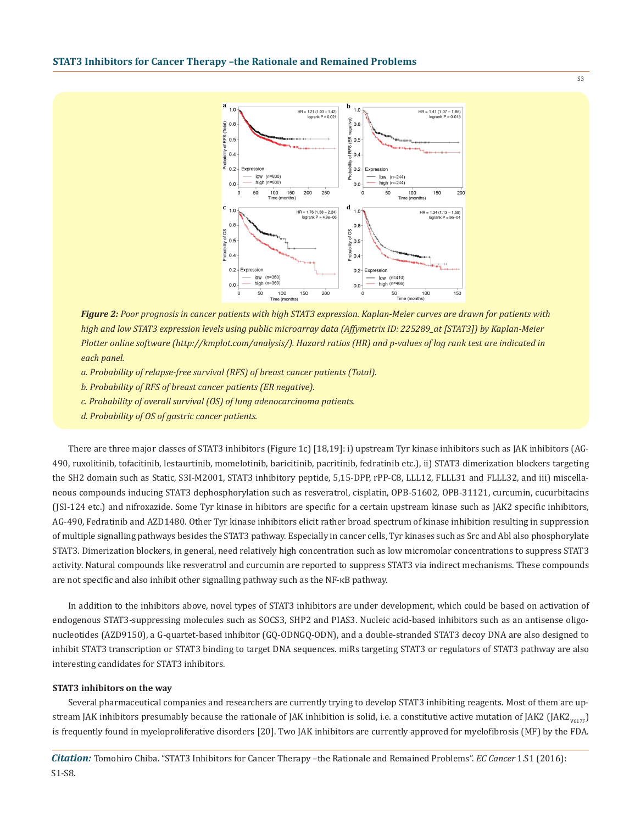$a_{1,0}$ 

 $0.4$ 

 $0.2$ 

 $0.0$ 

 $1.0$ 

 $0.8$ 

 $0.5$ 

 $0.2$ 

 $0<sup>0</sup>$ 

 $50$ 

100

Time (monthe)

 $\epsilon$ 

/ of OS

Probability  $04$ 

[otal]  $0.8$ RFS<sub>(</sub>  $0.5$ 



 $50$ 

100

,<br>Time (months)

150

*Figure 2: Poor prognosis in cancer patients with high STAT3 expression. Kaplan-Meier curves are drawn for patients with high and low STAT3 expression levels using public microarray data (Affymetrix ID: 225289\_at [STAT3]) by Kaplan-Meier Plotter online software (http://kmplot.com/analysis/). Hazard ratios (HR) and p-values of log rank test are indicated in each panel.* 

200

150

*a. Probability of relapse-free survival (RFS) of breast cancer patients (Total).* 

*b. Probability of RFS of breast cancer patients (ER negative).*

*c. Probability of overall survival (OS) of lung adenocarcinoma patients.* 

*d. Probability of OS of gastric cancer patients.* 

There are three major classes of STAT3 inhibitors (Figure 1c) [18,19]: i) upstream Tyr kinase inhibitors such as JAK inhibitors (AG-490, ruxolitinib, tofacitinib, lestaurtinib, momelotinib, baricitinib, pacritinib, fedratinib etc.), ii) STAT3 dimerization blockers targeting the SH2 domain such as Static, S3I-M2001, STAT3 inhibitory peptide, 5,15-DPP, rPP-C8, LLL12, FLLL31 and FLLL32, and iii) miscellaneous compounds inducing STAT3 dephosphorylation such as resveratrol, cisplatin, OPB-51602, OPB-31121, curcumin, cucurbitacins (JSI-124 etc.) and nifroxazide. Some Tyr kinase in hibitors are specific for a certain upstream kinase such as JAK2 specific inhibitors, AG-490, Fedratinib and AZD1480. Other Tyr kinase inhibitors elicit rather broad spectrum of kinase inhibition resulting in suppression of multiple signalling pathways besides the STAT3 pathway. Especially in cancer cells, Tyr kinases such as Src and Abl also phosphorylate STAT3. Dimerization blockers, in general, need relatively high concentration such as low micromolar concentrations to suppress STAT3 activity. Natural compounds like resveratrol and curcumin are reported to suppress STAT3 via indirect mechanisms. These compounds are not specific and also inhibit other signalling pathway such as the NF-κB pathway.

In addition to the inhibitors above, novel types of STAT3 inhibitors are under development, which could be based on activation of endogenous STAT3-suppressing molecules such as SOCS3, SHP2 and PIAS3. Nucleic acid-based inhibitors such as an antisense oligonucleotides (AZD9150), a G-quartet-based inhibitor (GQ-ODNGQ-ODN), and a double-stranded STAT3 decoy DNA are also designed to inhibit STAT3 transcription or STAT3 binding to target DNA sequences. miRs targeting STAT3 or regulators of STAT3 pathway are also interesting candidates for STAT3 inhibitors.

#### **STAT3 inhibitors on the way**

Several pharmaceutical companies and researchers are currently trying to develop STAT3 inhibiting reagents. Most of them are upstream JAK inhibitors presumably because the rationale of JAK inhibition is solid, i.e. a constitutive active mutation of JAK2 (JAK2<sub>V617F</sub>) is frequently found in myeloproliferative disorders [20]. Two JAK inhibitors are currently approved for myelofibrosis (MF) by the FDA.

*Citation:* Tomohiro Chiba. "STAT3 Inhibitors for Cancer Therapy –the Rationale and Remained Problems". *EC Cancer* 1.S1 (2016): S1-S8.

S3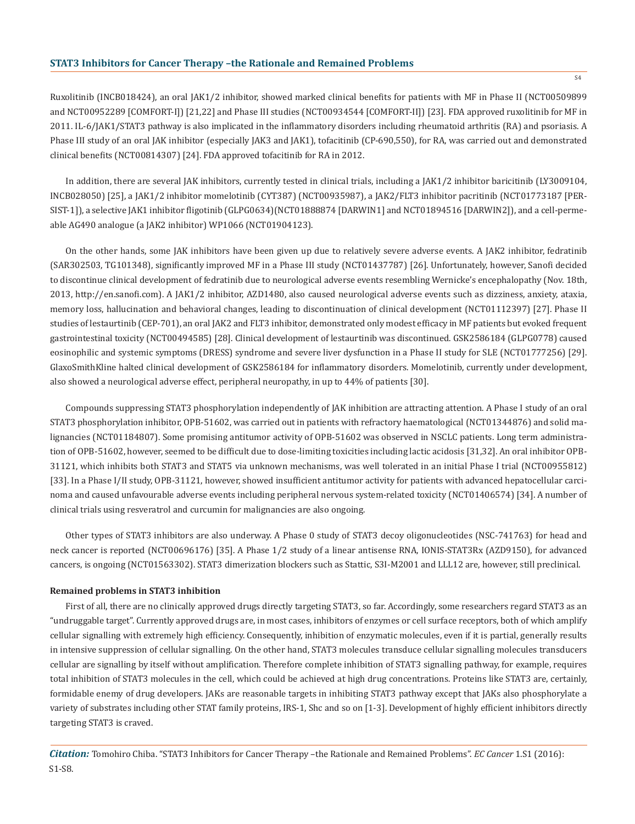### **STAT3 Inhibitors for Cancer Therapy –the Rationale and Remained Problems**

Ruxolitinib (INCB018424), an oral JAK1/2 inhibitor, showed marked clinical benefits for patients with MF in Phase II (NCT00509899 and NCT00952289 [COMFORT-I]) [21,22] and Phase III studies (NCT00934544 [COMFORT-II]) [23]. FDA approved ruxolitinib for MF in 2011. IL-6/JAK1/STAT3 pathway is also implicated in the inflammatory disorders including rheumatoid arthritis (RA) and psoriasis. A Phase III study of an oral JAK inhibitor (especially JAK3 and JAK1), tofacitinib (CP-690,550), for RA, was carried out and demonstrated clinical benefits (NCT00814307) [24]. FDA approved tofacitinib for RA in 2012.

In addition, there are several JAK inhibitors, currently tested in clinical trials, including a JAK1/2 inhibitor baricitinib (LY3009104, INCB028050) [25], a JAK1/2 inhibitor momelotinib (CYT387) (NCT00935987), a JAK2/FLT3 inhibitor pacritinib (NCT01773187 [PER-SIST-1]), a selective JAK1 inhibitor fligotinib (GLPG0634)(NCT01888874 [DARWIN1] and NCT01894516 [DARWIN2]), and a cell-permeable AG490 analogue (a JAK2 inhibitor) WP1066 (NCT01904123).

On the other hands, some JAK inhibitors have been given up due to relatively severe adverse events. A JAK2 inhibitor, fedratinib (SAR302503, TG101348), significantly improved MF in a Phase III study (NCT01437787) [26]. Unfortunately, however, Sanofi decided to discontinue clinical development of fedratinib due to neurological adverse events resembling Wernicke's encephalopathy (Nov. 18th, 2013, http://en.sanofi.com). A JAK1/2 inhibitor, AZD1480, also caused neurological adverse events such as dizziness, anxiety, ataxia, memory loss, hallucination and behavioral changes, leading to discontinuation of clinical development (NCT01112397) [27]. Phase II studies of lestaurtinib (CEP-701), an oral JAK2 and FLT3 inhibitor, demonstrated only modest efficacy in MF patients but evoked frequent gastrointestinal toxicity (NCT00494585) [28]. Clinical development of lestaurtinib was discontinued. GSK2586184 (GLPG0778) caused eosinophilic and systemic symptoms (DRESS) syndrome and severe liver dysfunction in a Phase II study for SLE (NCT01777256) [29]. GlaxoSmithKline halted clinical development of GSK2586184 for inflammatory disorders. Momelotinib, currently under development, also showed a neurological adverse effect, peripheral neuropathy, in up to 44% of patients [30].

Compounds suppressing STAT3 phosphorylation independently of JAK inhibition are attracting attention. A Phase I study of an oral STAT3 phosphorylation inhibitor, OPB-51602, was carried out in patients with refractory haematological (NCT01344876) and solid malignancies (NCT01184807). Some promising antitumor activity of OPB-51602 was observed in NSCLC patients. Long term administration of OPB-51602, however, seemed to be difficult due to dose-limiting toxicities including lactic acidosis [31,32]. An oral inhibitor OPB-31121, which inhibits both STAT3 and STAT5 via unknown mechanisms, was well tolerated in an initial Phase I trial (NCT00955812) [33]. In a Phase I/II study, OPB-31121, however, showed insufficient antitumor activity for patients with advanced hepatocellular carcinoma and caused unfavourable adverse events including peripheral nervous system-related toxicity (NCT01406574) [34]. A number of clinical trials using resveratrol and curcumin for malignancies are also ongoing.

Other types of STAT3 inhibitors are also underway. A Phase 0 study of STAT3 decoy oligonucleotides (NSC-741763) for head and neck cancer is reported (NCT00696176) [35]. A Phase 1/2 study of a linear antisense RNA, IONIS-STAT3Rx (AZD9150), for advanced cancers, is ongoing (NCT01563302). STAT3 dimerization blockers such as Stattic, S3I-M2001 and LLL12 are, however, still preclinical.

## **Remained problems in STAT3 inhibition**

First of all, there are no clinically approved drugs directly targeting STAT3, so far. Accordingly, some researchers regard STAT3 as an "undruggable target". Currently approved drugs are, in most cases, inhibitors of enzymes or cell surface receptors, both of which amplify cellular signalling with extremely high efficiency. Consequently, inhibition of enzymatic molecules, even if it is partial, generally results in intensive suppression of cellular signalling. On the other hand, STAT3 molecules transduce cellular signalling molecules transducers cellular are signalling by itself without amplification. Therefore complete inhibition of STAT3 signalling pathway, for example, requires total inhibition of STAT3 molecules in the cell, which could be achieved at high drug concentrations. Proteins like STAT3 are, certainly, formidable enemy of drug developers. JAKs are reasonable targets in inhibiting STAT3 pathway except that JAKs also phosphorylate a variety of substrates including other STAT family proteins, IRS-1, Shc and so on [1-3]. Development of highly efficient inhibitors directly targeting STAT3 is craved.

*Citation:* Tomohiro Chiba. "STAT3 Inhibitors for Cancer Therapy –the Rationale and Remained Problems". *EC Cancer* 1.S1 (2016): S1-S8.

S4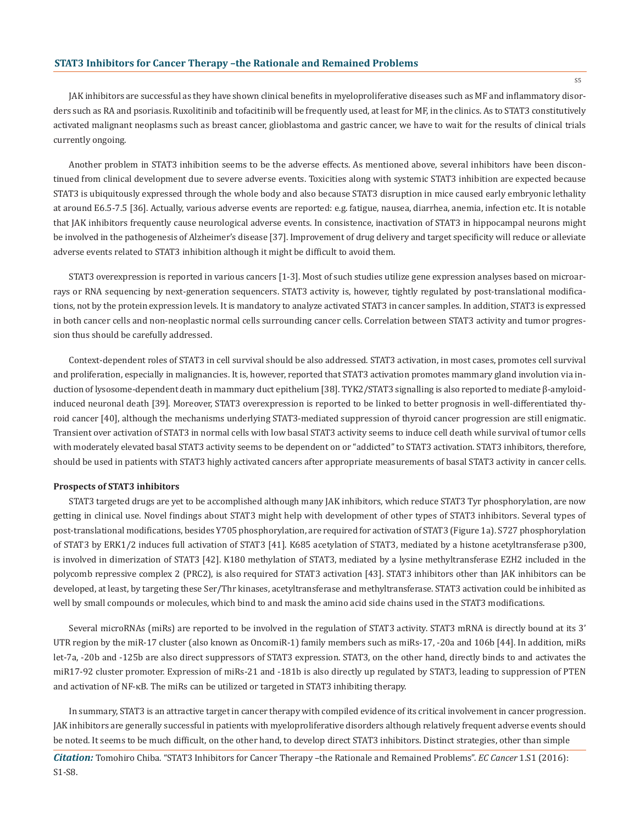JAK inhibitors are successful as they have shown clinical benefits in myeloproliferative diseases such as MF and inflammatory disorders such as RA and psoriasis. Ruxolitinib and tofacitinib will be frequently used, at least for MF, in the clinics. As to STAT3 constitutively activated malignant neoplasms such as breast cancer, glioblastoma and gastric cancer, we have to wait for the results of clinical trials currently ongoing.

Another problem in STAT3 inhibition seems to be the adverse effects. As mentioned above, several inhibitors have been discontinued from clinical development due to severe adverse events. Toxicities along with systemic STAT3 inhibition are expected because STAT3 is ubiquitously expressed through the whole body and also because STAT3 disruption in mice caused early embryonic lethality at around E6.5-7.5 [36]. Actually, various adverse events are reported: e.g. fatigue, nausea, diarrhea, anemia, infection etc. It is notable that JAK inhibitors frequently cause neurological adverse events. In consistence, inactivation of STAT3 in hippocampal neurons might be involved in the pathogenesis of Alzheimer's disease [37]. Improvement of drug delivery and target specificity will reduce or alleviate adverse events related to STAT3 inhibition although it might be difficult to avoid them.

STAT3 overexpression is reported in various cancers [1-3]. Most of such studies utilize gene expression analyses based on microarrays or RNA sequencing by next-generation sequencers. STAT3 activity is, however, tightly regulated by post-translational modifications, not by the protein expression levels. It is mandatory to analyze activated STAT3 in cancer samples. In addition, STAT3 is expressed in both cancer cells and non-neoplastic normal cells surrounding cancer cells. Correlation between STAT3 activity and tumor progression thus should be carefully addressed.

Context-dependent roles of STAT3 in cell survival should be also addressed. STAT3 activation, in most cases, promotes cell survival and proliferation, especially in malignancies. It is, however, reported that STAT3 activation promotes mammary gland involution via induction of lysosome-dependent death in mammary duct epithelium [38]. TYK2/STAT3 signalling is also reported to mediate β-amyloidinduced neuronal death [39]. Moreover, STAT3 overexpression is reported to be linked to better prognosis in well-differentiated thyroid cancer [40], although the mechanisms underlying STAT3-mediated suppression of thyroid cancer progression are still enigmatic. Transient over activation of STAT3 in normal cells with low basal STAT3 activity seems to induce cell death while survival of tumor cells with moderately elevated basal STAT3 activity seems to be dependent on or "addicted" to STAT3 activation. STAT3 inhibitors, therefore, should be used in patients with STAT3 highly activated cancers after appropriate measurements of basal STAT3 activity in cancer cells.

### **Prospects of STAT3 inhibitors**

STAT3 targeted drugs are yet to be accomplished although many JAK inhibitors, which reduce STAT3 Tyr phosphorylation, are now getting in clinical use. Novel findings about STAT3 might help with development of other types of STAT3 inhibitors. Several types of post-translational modifications, besides Y705 phosphorylation, are required for activation of STAT3 (Figure 1a). S727 phosphorylation of STAT3 by ERK1/2 induces full activation of STAT3 [41]. K685 acetylation of STAT3, mediated by a histone acetyltransferase p300, is involved in dimerization of STAT3 [42]. K180 methylation of STAT3, mediated by a lysine methyltransferase EZH2 included in the polycomb repressive complex 2 (PRC2), is also required for STAT3 activation [43]. STAT3 inhibitors other than JAK inhibitors can be developed, at least, by targeting these Ser/Thr kinases, acetyltransferase and methyltransferase. STAT3 activation could be inhibited as well by small compounds or molecules, which bind to and mask the amino acid side chains used in the STAT3 modifications.

Several microRNAs (miRs) are reported to be involved in the regulation of STAT3 activity. STAT3 mRNA is directly bound at its 3' UTR region by the miR-17 cluster (also known as OncomiR-1) family members such as miRs-17, -20a and 106b [44]. In addition, miRs let-7a, -20b and -125b are also direct suppressors of STAT3 expression. STAT3, on the other hand, directly binds to and activates the miR17-92 cluster promoter. Expression of miRs-21 and -181b is also directly up regulated by STAT3, leading to suppression of PTEN and activation of NF-κB. The miRs can be utilized or targeted in STAT3 inhibiting therapy.

In summary, STAT3 is an attractive target in cancer therapy with compiled evidence of its critical involvement in cancer progression. JAK inhibitors are generally successful in patients with myeloproliferative disorders although relatively frequent adverse events should be noted. It seems to be much difficult, on the other hand, to develop direct STAT3 inhibitors. Distinct strategies, other than simple

*Citation:* Tomohiro Chiba. "STAT3 Inhibitors for Cancer Therapy –the Rationale and Remained Problems". *EC Cancer* 1.S1 (2016): S1-S8.

 $S<sub>5</sub>$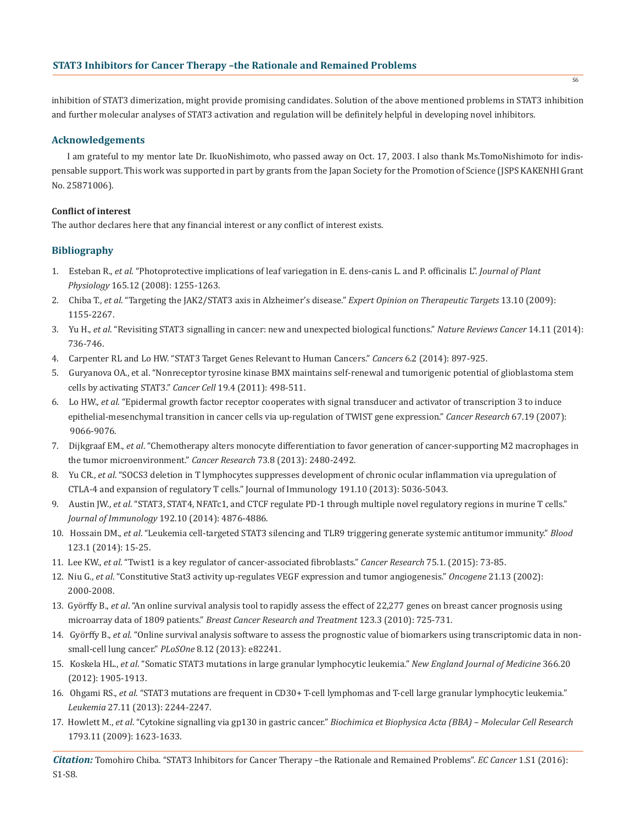inhibition of STAT3 dimerization, might provide promising candidates. Solution of the above mentioned problems in STAT3 inhibition and further molecular analyses of STAT3 activation and regulation will be definitely helpful in developing novel inhibitors.

# **Acknowledgements**

I am grateful to my mentor late Dr. IkuoNishimoto, who passed away on Oct. 17, 2003. I also thank Ms.TomoNishimoto for indispensable support. This work was supported in part by grants from the Japan Society for the Promotion of Science (JSPS KAKENHI Grant No. 25871006).

# **Conflict of interest**

The author declares here that any financial interest or any conflict of interest exists.

# **Bibliography**

- 1. Esteban R., *et al*. "Photoprotective implications of leaf variegation in E. dens-canis L. and P. officinalis L". *Journal of Plant Physiology* 165.12 (2008): 1255-1263.
- 2. Chiba T., *et al*. "Targeting the JAK2/STAT3 axis in Alzheimer's disease." *Expert Opinion on Therapeutic Targets* 13.10 (2009): 1155-2267.
- 3. Yu H., *et al*. "Revisiting STAT3 signalling in cancer: new and unexpected biological functions." *Nature Reviews Cancer* 14.11 (2014): 736-746.
- 4. Carpenter RL and Lo HW. "STAT3 Target Genes Relevant to Human Cancers." *Cancers* 6.2 (2014): 897-925.
- 5. Guryanova OA., et al. "Nonreceptor tyrosine kinase BMX maintains self-renewal and tumorigenic potential of glioblastoma stem cells by activating STAT3." *Cancer Cell* 19.4 (2011): 498-511.
- 6. Lo HW., *et al*. "Epidermal growth factor receptor cooperates with signal transducer and activator of transcription 3 to induce epithelial-mesenchymal transition in cancer cells via up-regulation of TWIST gene expression." *Cancer Research* 67.19 (2007): 9066-9076.
- 7. Dijkgraaf EM., *et al*. "Chemotherapy alters monocyte differentiation to favor generation of cancer-supporting M2 macrophages in the tumor microenvironment." *Cancer Research* 73.8 (2013): 2480-2492.
- 8. Yu CR., *et al*. "SOCS3 deletion in T lymphocytes suppresses development of chronic ocular inflammation via upregulation of CTLA-4 and expansion of regulatory T cells." Journal of Immunology 191.10 (2013): 5036-5043.
- 9. Austin JW., *et al*. "STAT3, STAT4, NFATc1, and CTCF regulate PD-1 through multiple novel regulatory regions in murine T cells." *Journal of Immunology* 192.10 (2014): 4876-4886.
- 10. Hossain DM., *et al*. "Leukemia cell-targeted STAT3 silencing and TLR9 triggering generate systemic antitumor immunity." *Blood* 123.1 (2014): 15-25.
- 11. Lee KW., *et al*. "Twist1 is a key regulator of cancer-associated fibroblasts." *Cancer Research* 75.1. (2015): 73-85.
- 12. Niu G., *et al*. "Constitutive Stat3 activity up-regulates VEGF expression and tumor angiogenesis." *Oncogene* 21.13 (2002): 2000-2008.
- 13. Györffy B., *et al*. "An online survival analysis tool to rapidly assess the effect of 22,277 genes on breast cancer prognosis using microarray data of 1809 patients." *Breast Cancer Research and Treatment* 123.3 (2010): 725-731.
- 14. Györffy B., *et al*. "Online survival analysis software to assess the prognostic value of biomarkers using transcriptomic data in non small-cell lung cancer." *PLoSOne* 8.12 (2013): e82241.
- 15. Koskela HL., *et al*. "Somatic STAT3 mutations in large granular lymphocytic leukemia." *New England Journal of Medicine* 366.20 (2012): 1905-1913.
- 16. Ohgami RS., *et al*. "STAT3 mutations are frequent in CD30+ T-cell lymphomas and T-cell large granular lymphocytic leukemia."  *Leukemia* 27.11 (2013): 2244-2247.
- 17. Howlett M., *et al*. "Cytokine signalling via gp130 in gastric cancer." *Biochimica et Biophysica Acta (BBA) Molecular Cell Research* 1793.11 (2009): 1623-1633.

*Citation:* Tomohiro Chiba. "STAT3 Inhibitors for Cancer Therapy –the Rationale and Remained Problems". *EC Cancer* 1.S1 (2016): S1-S8.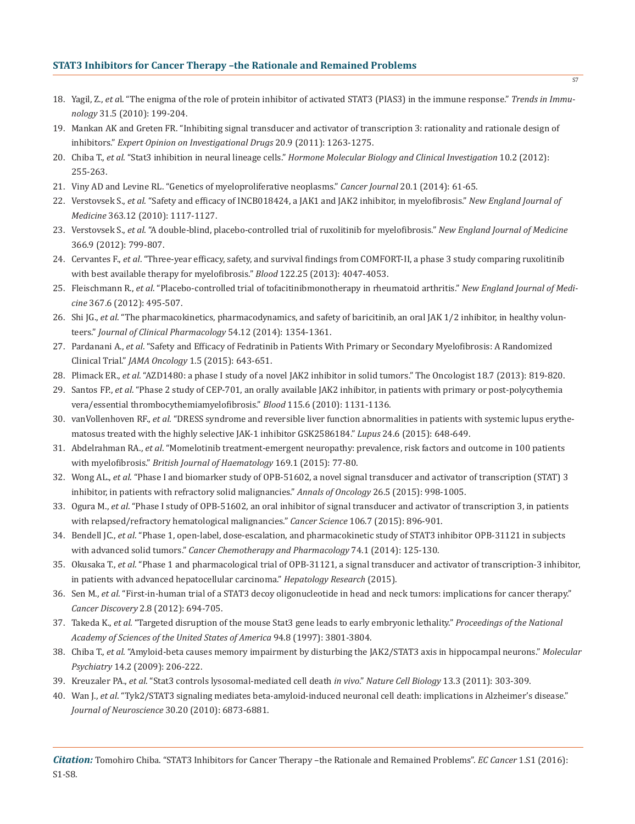# **STAT3 Inhibitors for Cancer Therapy –the Rationale and Remained Problems**

- 18. Yagil, Z., *et a*l. "The enigma of the role of protein inhibitor of activated STAT3 (PIAS3) in the immune response." *Trends in Immu nology* 31.5 (2010): 199-204.
- 19. Mankan AK and Greten FR. "Inhibiting signal transducer and activator of transcription 3: rationality and rationale design of inhibitors." *Expert Opinion on Investigational Drugs* 20.9 (2011): 1263-1275.
- 20. Chiba T., *et al*. "Stat3 inhibition in neural lineage cells." *Hormone Molecular Biology and Clinical Investigation* 10.2 (2012): 255-263.
- 21. Viny AD and Levine RL. "Genetics of myeloproliferative neoplasms." *Cancer Journal* 20.1 (2014): 61-65.
- 22. Verstovsek S., *et al*. "Safety and efficacy of INCB018424, a JAK1 and JAK2 inhibitor, in myelofibrosis." *New England Journal of Medicine* 363.12 (2010): 1117-1127.
- 23. Verstovsek S., *et al*. "A double-blind, placebo-controlled trial of ruxolitinib for myelofibrosis." *New England Journal of Medicine*  366.9 (2012): 799-807.
- 24. Cervantes F., *et al*. "Three-year efficacy, safety, and survival findings from COMFORT-II, a phase 3 study comparing ruxolitinib with best available therapy for myelofibrosis." *Blood* 122.25 (2013): 4047-4053.
- 25. Fleischmann R., *et al*. "Placebo-controlled trial of tofacitinibmonotherapy in rheumatoid arthritis." *New England Journal of Medi cine* 367.6 (2012): 495-507.
- 26. Shi JG., *et al*. "The pharmacokinetics, pharmacodynamics, and safety of baricitinib, an oral JAK 1/2 inhibitor, in healthy volun teers." *Journal of Clinical Pharmacology* 54.12 (2014): 1354-1361.
- 27. Pardanani A., *et al*. "Safety and Efficacy of Fedratinib in Patients With Primary or Secondary Myelofibrosis: A Randomized Clinical Trial." *JAMA Oncology* 1.5 (2015): 643-651.
- 28. Plimack ER., *et al*. "AZD1480: a phase I study of a novel JAK2 inhibitor in solid tumors." The Oncologist 18.7 (2013): 819-820.
- 29. Santos FP., *et al*. "Phase 2 study of CEP-701, an orally available JAK2 inhibitor, in patients with primary or post-polycythemia vera/essential thrombocythemiamyelofibrosis." *Blood* 115.6 (2010): 1131-1136.
- 30. vanVollenhoven RF., *et al*. "DRESS syndrome and reversible liver function abnormalities in patients with systemic lupus erythe matosus treated with the highly selective JAK-1 inhibitor GSK2586184." *Lupus* 24.6 (2015): 648-649.
- 31. Abdelrahman RA., *et al*. "Momelotinib treatment-emergent neuropathy: prevalence, risk factors and outcome in 100 patients with myelofibrosis." *British Journal of Haematology* 169.1 (2015): 77-80.
- 32. Wong AL., *et al*. "Phase I and biomarker study of OPB-51602, a novel signal transducer and activator of transcription (STAT) 3 inhibitor, in patients with refractory solid malignancies." *Annals of Oncology* 26.5 (2015): 998-1005.
- 33. Ogura M., *et al*. "Phase I study of OPB-51602, an oral inhibitor of signal transducer and activator of transcription 3, in patients with relapsed/refractory hematological malignancies." *Cancer Science* 106.7 (2015): 896-901.
- 34. Bendell JC., *et al*. "Phase 1, open-label, dose-escalation, and pharmacokinetic study of STAT3 inhibitor OPB-31121 in subjects with advanced solid tumors." *Cancer Chemotherapy and Pharmacology* 74.1 (2014): 125-130.
- 35. Okusaka T., *et al*. "Phase 1 and pharmacological trial of OPB-31121, a signal transducer and activator of transcription-3 inhibitor, in patients with advanced hepatocellular carcinoma." *Hepatology Research* (2015).
- 36. Sen M., *et al*. "First-in-human trial of a STAT3 decoy oligonucleotide in head and neck tumors: implications for cancer therapy." *Cancer Discovery* 2.8 (2012): 694-705.
- 37. Takeda K., *et al*. "Targeted disruption of the mouse Stat3 gene leads to early embryonic lethality." *Proceedings of the National Academy of Sciences of the United States of America* 94.8 (1997): 3801-3804.
- 38. Chiba T., *et al*. "Amyloid-beta causes memory impairment by disturbing the JAK2/STAT3 axis in hippocampal neurons." *Molecular Psychiatry* 14.2 (2009): 206-222.
- 39. Kreuzaler PA., *et al*. "Stat3 controls lysosomal-mediated cell death *in vivo*." *Nature Cell Biology* 13.3 (2011): 303-309.
- 40. Wan J., *et al*. "Tyk2/STAT3 signaling mediates beta-amyloid-induced neuronal cell death: implications in Alzheimer's disease." *Journal of Neuroscience* 30.20 (2010): 6873-6881.

 $\overline{\mathcal{S}7}$